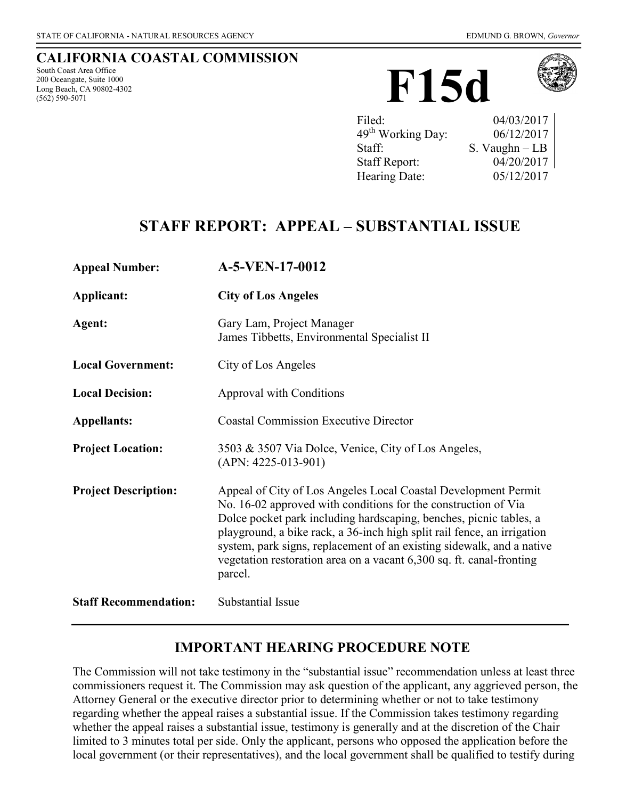#### **CALIFORNIA COASTAL COMMISSION**

South Coast Area Office 200 Oceangate, Suite 1000 Long Beach, CA 90802-4302 (562) 590-5071





| Filed:                        | 04/03/2017       |
|-------------------------------|------------------|
| 49 <sup>th</sup> Working Day: | 06/12/2017       |
| Staff:                        | S. Vaughn $-$ LB |
| <b>Staff Report:</b>          | 04/20/2017       |
| Hearing Date:                 | 05/12/2017       |

## **STAFF REPORT: APPEAL – SUBSTANTIAL ISSUE**

| <b>Appeal Number:</b>        | A-5-VEN-17-0012                                                                                                                                                                                                                                                                                                                                                                                                                               |
|------------------------------|-----------------------------------------------------------------------------------------------------------------------------------------------------------------------------------------------------------------------------------------------------------------------------------------------------------------------------------------------------------------------------------------------------------------------------------------------|
| Applicant:                   | <b>City of Los Angeles</b>                                                                                                                                                                                                                                                                                                                                                                                                                    |
| Agent:                       | Gary Lam, Project Manager<br>James Tibbetts, Environmental Specialist II                                                                                                                                                                                                                                                                                                                                                                      |
| <b>Local Government:</b>     | City of Los Angeles                                                                                                                                                                                                                                                                                                                                                                                                                           |
| <b>Local Decision:</b>       | Approval with Conditions                                                                                                                                                                                                                                                                                                                                                                                                                      |
| <b>Appellants:</b>           | <b>Coastal Commission Executive Director</b>                                                                                                                                                                                                                                                                                                                                                                                                  |
| <b>Project Location:</b>     | 3503 & 3507 Via Dolce, Venice, City of Los Angeles,<br>$(APN: 4225-013-901)$                                                                                                                                                                                                                                                                                                                                                                  |
| <b>Project Description:</b>  | Appeal of City of Los Angeles Local Coastal Development Permit<br>No. 16-02 approved with conditions for the construction of Via<br>Dolce pocket park including hardscaping, benches, picnic tables, a<br>playground, a bike rack, a 36-inch high split rail fence, an irrigation<br>system, park signs, replacement of an existing sidewalk, and a native<br>vegetation restoration area on a vacant 6,300 sq. ft. canal-fronting<br>parcel. |
| <b>Staff Recommendation:</b> | Substantial Issue                                                                                                                                                                                                                                                                                                                                                                                                                             |

### **IMPORTANT HEARING PROCEDURE NOTE**

The Commission will not take testimony in the "substantial issue" recommendation unless at least three commissioners request it. The Commission may ask question of the applicant, any aggrieved person, the Attorney General or the executive director prior to determining whether or not to take testimony regarding whether the appeal raises a substantial issue. If the Commission takes testimony regarding whether the appeal raises a substantial issue, testimony is generally and at the discretion of the Chair limited to 3 minutes total per side. Only the applicant, persons who opposed the application before the local government (or their representatives), and the local government shall be qualified to testify during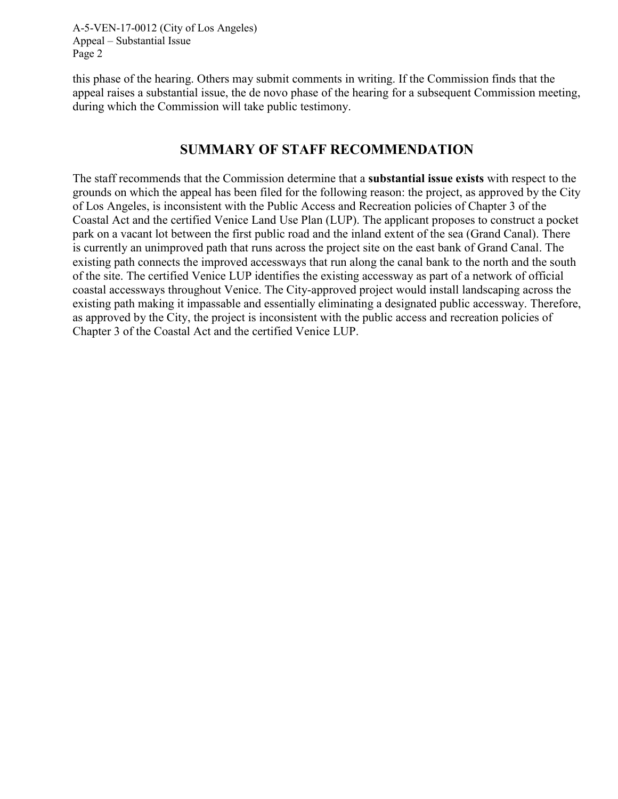this phase of the hearing. Others may submit comments in writing. If the Commission finds that the appeal raises a substantial issue, the de novo phase of the hearing for a subsequent Commission meeting, during which the Commission will take public testimony.

#### **SUMMARY OF STAFF RECOMMENDATION**

The staff recommends that the Commission determine that a **substantial issue exists** with respect to the grounds on which the appeal has been filed for the following reason: the project, as approved by the City of Los Angeles, is inconsistent with the Public Access and Recreation policies of Chapter 3 of the Coastal Act and the certified Venice Land Use Plan (LUP). The applicant proposes to construct a pocket park on a vacant lot between the first public road and the inland extent of the sea (Grand Canal). There is currently an unimproved path that runs across the project site on the east bank of Grand Canal. The existing path connects the improved accessways that run along the canal bank to the north and the south of the site. The certified Venice LUP identifies the existing accessway as part of a network of official coastal accessways throughout Venice. The City-approved project would install landscaping across the existing path making it impassable and essentially eliminating a designated public accessway. Therefore, as approved by the City, the project is inconsistent with the public access and recreation policies of Chapter 3 of the Coastal Act and the certified Venice LUP.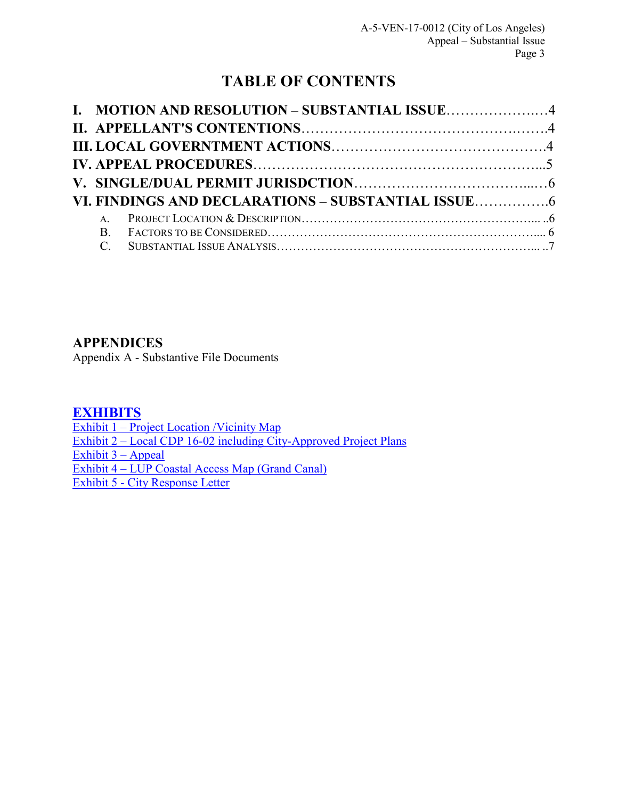# **TABLE OF CONTENTS**

|  | I. MOTION AND RESOLUTION - SUBSTANTIAL ISSUE4 |  |
|--|-----------------------------------------------|--|
|  |                                               |  |
|  |                                               |  |
|  |                                               |  |
|  |                                               |  |
|  |                                               |  |
|  |                                               |  |
|  |                                               |  |
|  |                                               |  |

### **[APPENDICES](#page-10-0)**

[Appendix A - Substantive File Documents](#page-10-0) 

#### **[EXHIBITS](https://documents.coastal.ca.gov/reports/5/F15d/F15d-5-2017-exhibits.pdf)**

Exhibit 1 – Project Location / Vicinity Map Exhibit 2 – Local CDP 16-02 including City-Approved Project Plans [Exhibit 3 –](https://documents.coastal.ca.gov/reports/5/F15d/F15d-5-2017-exhibits.pdf) Appeal Exhibit 4 – LUP Coastal Access Map (Grand Canal) [Exhibit 5 - City Response Letter](https://documents.coastal.ca.gov/reports/5/F15d/F15d-5-2017-exhibits.pdf)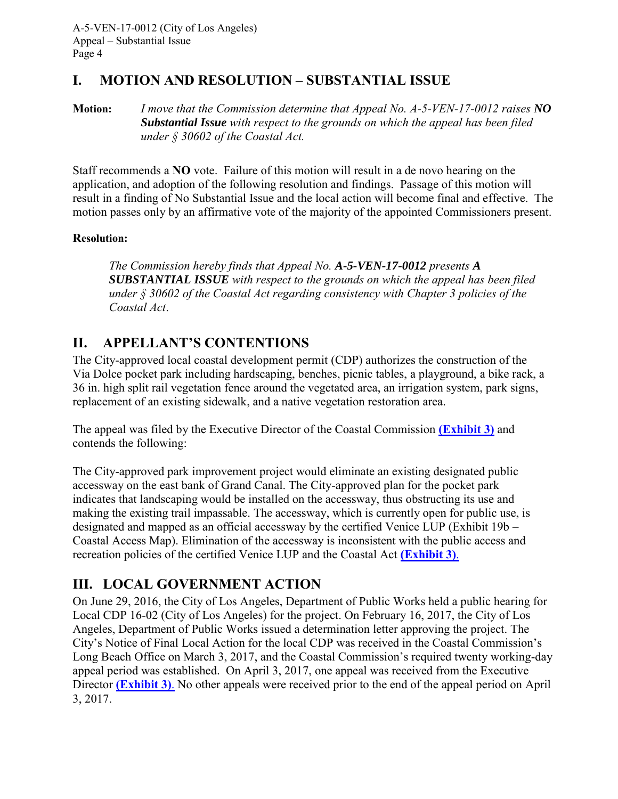### <span id="page-3-0"></span>**I. MOTION AND RESOLUTION – SUBSTANTIAL ISSUE**

**Motion:** *I move that the Commission determine that Appeal No. A-5-VEN-17-0012 raises NO Substantial Issue with respect to the grounds on which the appeal has been filed under § 30602 of the Coastal Act.*

Staff recommends a **NO** vote. Failure of this motion will result in a de novo hearing on the application, and adoption of the following resolution and findings. Passage of this motion will result in a finding of No Substantial Issue and the local action will become final and effective. The motion passes only by an affirmative vote of the majority of the appointed Commissioners present.

#### **Resolution:**

*The Commission hereby finds that Appeal No. A-5-VEN-17-0012 presents A SUBSTANTIAL ISSUE with respect to the grounds on which the appeal has been filed under § 30602 of the Coastal Act regarding consistency with Chapter 3 policies of the Coastal Act*.

## <span id="page-3-1"></span>**II. APPELLANT'S CONTENTIONS**

The City-approved local coastal development permit (CDP) authorizes the construction of the Via Dolce pocket park including hardscaping, benches, picnic tables, a playground, a bike rack, a 36 in. high split rail vegetation fence around the vegetated area, an irrigation system, park signs, replacement of an existing sidewalk, and a native vegetation restoration area.

The appeal was filed by the Executive Director of the Coastal Commission **[\(Exhibit 3\)](https://documents.coastal.ca.gov/reports/5/F15d/F15d-5-2017-exhibits.pdf)** and contends the following:

The City-approved park improvement project would eliminate an existing designated public accessway on the east bank of Grand Canal. The City-approved plan for the pocket park indicates that landscaping would be installed on the accessway, thus obstructing its use and making the existing trail impassable. The accessway, which is currently open for public use, is designated and mapped as an official accessway by the certified Venice LUP (Exhibit 19b – Coastal Access Map). Elimination of the accessway is inconsistent with the public access and recreation policies of the certified Venice LUP and the Coastal Act **[\(Exhibit 3\)](https://documents.coastal.ca.gov/reports/5/F15d/F15d-5-2017-exhibits.pdf)**.

## <span id="page-3-2"></span>**III. LOCAL GOVERNMENT ACTION**

On June 29, 2016, the City of Los Angeles, Department of Public Works held a public hearing for Local CDP 16-02 (City of Los Angeles) for the project. On February 16, 2017, the City of Los Angeles, Department of Public Works issued a determination letter approving the project. The City's Notice of Final Local Action for the local CDP was received in the Coastal Commission's Long Beach Office on March 3, 2017, and the Coastal Commission's required twenty working-day appeal period was established. On April 3, 2017, one appeal was received from the Executive Director **[\(Exhibit 3\)](https://documents.coastal.ca.gov/reports/5/F15d/F15d-5-2017-exhibits.pdf)**. No other appeals were received prior to the end of the appeal period on April 3, 2017.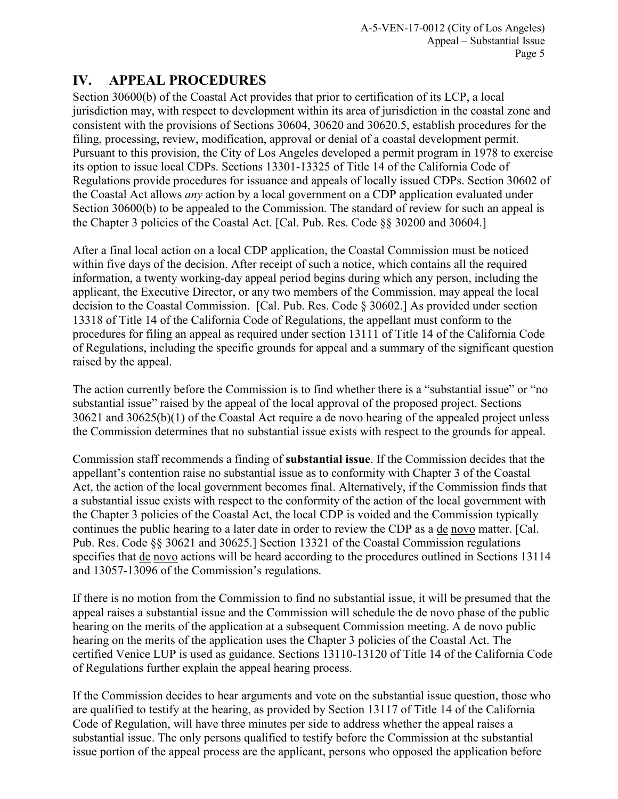## <span id="page-4-0"></span>**IV. APPEAL PROCEDURES**

Section 30600(b) of the Coastal Act provides that prior to certification of its LCP, a local jurisdiction may, with respect to development within its area of jurisdiction in the coastal zone and consistent with the provisions of Sections 30604, 30620 and 30620.5, establish procedures for the filing, processing, review, modification, approval or denial of a coastal development permit. Pursuant to this provision, the City of Los Angeles developed a permit program in 1978 to exercise its option to issue local CDPs. Sections 13301-13325 of Title 14 of the California Code of Regulations provide procedures for issuance and appeals of locally issued CDPs. Section 30602 of the Coastal Act allows *any* action by a local government on a CDP application evaluated under Section 30600(b) to be appealed to the Commission. The standard of review for such an appeal is the Chapter 3 policies of the Coastal Act. [Cal. Pub. Res. Code §§ 30200 and 30604.]

After a final local action on a local CDP application, the Coastal Commission must be noticed within five days of the decision. After receipt of such a notice, which contains all the required information, a twenty working-day appeal period begins during which any person, including the applicant, the Executive Director, or any two members of the Commission, may appeal the local decision to the Coastal Commission. [Cal. Pub. Res. Code § 30602.] As provided under section 13318 of Title 14 of the California Code of Regulations, the appellant must conform to the procedures for filing an appeal as required under section 13111 of Title 14 of the California Code of Regulations, including the specific grounds for appeal and a summary of the significant question raised by the appeal.

The action currently before the Commission is to find whether there is a "substantial issue" or "no substantial issue" raised by the appeal of the local approval of the proposed project. Sections 30621 and 30625(b)(1) of the Coastal Act require a de novo hearing of the appealed project unless the Commission determines that no substantial issue exists with respect to the grounds for appeal.

Commission staff recommends a finding of **substantial issue**. If the Commission decides that the appellant's contention raise no substantial issue as to conformity with Chapter 3 of the Coastal Act, the action of the local government becomes final. Alternatively, if the Commission finds that a substantial issue exists with respect to the conformity of the action of the local government with the Chapter 3 policies of the Coastal Act, the local CDP is voided and the Commission typically continues the public hearing to a later date in order to review the CDP as a de novo matter. [Cal. Pub. Res. Code §§ 30621 and 30625.] Section 13321 of the Coastal Commission regulations specifies that de novo actions will be heard according to the procedures outlined in Sections 13114 and 13057-13096 of the Commission's regulations.

If there is no motion from the Commission to find no substantial issue, it will be presumed that the appeal raises a substantial issue and the Commission will schedule the de novo phase of the public hearing on the merits of the application at a subsequent Commission meeting. A de novo public hearing on the merits of the application uses the Chapter 3 policies of the Coastal Act. The certified Venice LUP is used as guidance. Sections 13110-13120 of Title 14 of the California Code of Regulations further explain the appeal hearing process.

If the Commission decides to hear arguments and vote on the substantial issue question, those who are qualified to testify at the hearing, as provided by Section 13117 of Title 14 of the California Code of Regulation, will have three minutes per side to address whether the appeal raises a substantial issue. The only persons qualified to testify before the Commission at the substantial issue portion of the appeal process are the applicant, persons who opposed the application before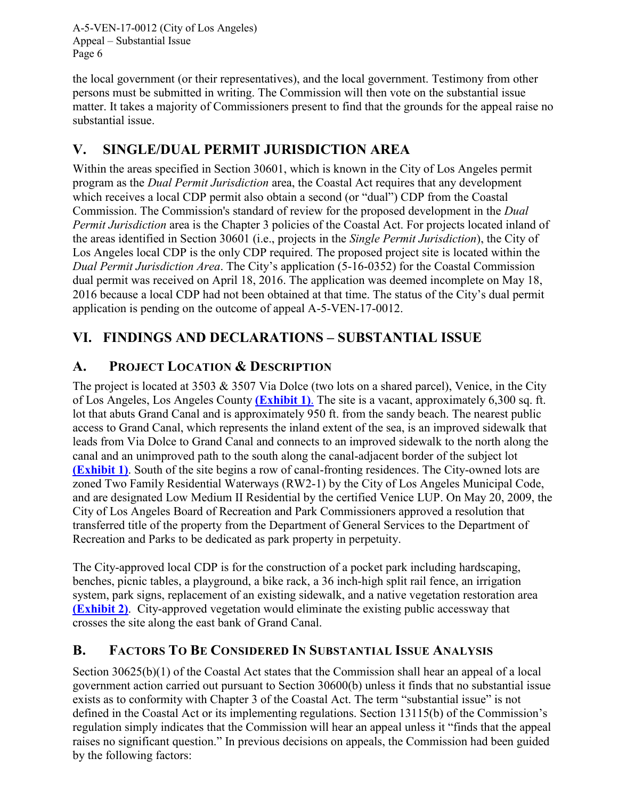the local government (or their representatives), and the local government. Testimony from other persons must be submitted in writing. The Commission will then vote on the substantial issue matter. It takes a majority of Commissioners present to find that the grounds for the appeal raise no substantial issue.

## <span id="page-5-0"></span>**V. SINGLE/DUAL PERMIT JURISDICTION AREA**

Within the areas specified in Section 30601, which is known in the City of Los Angeles permit program as the *Dual Permit Jurisdiction* area, the Coastal Act requires that any development which receives a local CDP permit also obtain a second (or "dual") CDP from the Coastal Commission. The Commission's standard of review for the proposed development in the *Dual Permit Jurisdiction* area is the Chapter 3 policies of the Coastal Act. For projects located inland of the areas identified in Section 30601 (i.e., projects in the *Single Permit Jurisdiction*), the City of Los Angeles local CDP is the only CDP required. The proposed project site is located within the *Dual Permit Jurisdiction Area*. The City's application (5-16-0352) for the Coastal Commission dual permit was received on April 18, 2016. The application was deemed incomplete on May 18, 2016 because a local CDP had not been obtained at that time. The status of the City's dual permit application is pending on the outcome of appeal A-5-VEN-17-0012.

## <span id="page-5-1"></span>**VI. FINDINGS AND DECLARATIONS – SUBSTANTIAL ISSUE**

### <span id="page-5-2"></span>**A. PROJECT LOCATION & DESCRIPTION**

The project is located at 3503 & 3507 Via Dolce (two lots on a shared parcel), Venice, in the City of Los Angeles, Los Angeles County **[\(Exhibit 1\)](https://documents.coastal.ca.gov/reports/5/F15d/F15d-5-2017-exhibits.pdf)**. The site is a vacant, approximately 6,300 sq. ft. lot that abuts Grand Canal and is approximately 950 ft. from the sandy beach. The nearest public access to Grand Canal, which represents the inland extent of the sea, is an improved sidewalk that leads from Via Dolce to Grand Canal and connects to an improved sidewalk to the north along the canal and an unimproved path to the south along the canal-adjacent border of the subject lo[t](https://documents.coastal.ca.gov/reports/5/F15d/F15d-5-2017-exhibits.pdf) **[\(Exhibit 1\)](https://documents.coastal.ca.gov/reports/5/F15d/F15d-5-2017-exhibits.pdf)**. South of the site begins a row of canal-fronting residences. The City-owned lots are zoned Two Family Residential Waterways (RW2-1) by the City of Los Angeles Municipal Code, and are designated Low Medium II Residential by the certified Venice LUP. On May 20, 2009, the City of Los Angeles Board of Recreation and Park Commissioners approved a resolution that transferred title of the property from the Department of General Services to the Department of Recreation and Parks to be dedicated as park property in perpetuity.

The City-approved local CDP is for the construction of a pocket park including hardscaping, benches, picnic tables, a playground, a bike rack, a 36 inch-high split rail fence, an irrigation system, park signs, replacement of an existing sidewalk, and a native vegetation restoration area **[\(Exhibit 2\)](https://documents.coastal.ca.gov/reports/5/F15d/F15d-5-2017-exhibits.pdf)**. City-approved vegetation would eliminate the existing public accessway that crosses the site along the east bank of Grand Canal.

### <span id="page-5-3"></span>**B. FACTORS TO BE CONSIDERED IN SUBSTANTIAL ISSUE ANALYSIS**

Section 30625(b)(1) of the Coastal Act states that the Commission shall hear an appeal of a local government action carried out pursuant to Section 30600(b) unless it finds that no substantial issue exists as to conformity with Chapter 3 of the Coastal Act. The term "substantial issue" is not defined in the Coastal Act or its implementing regulations. Section 13115(b) of the Commission's regulation simply indicates that the Commission will hear an appeal unless it "finds that the appeal raises no significant question." In previous decisions on appeals, the Commission had been guided by the following factors: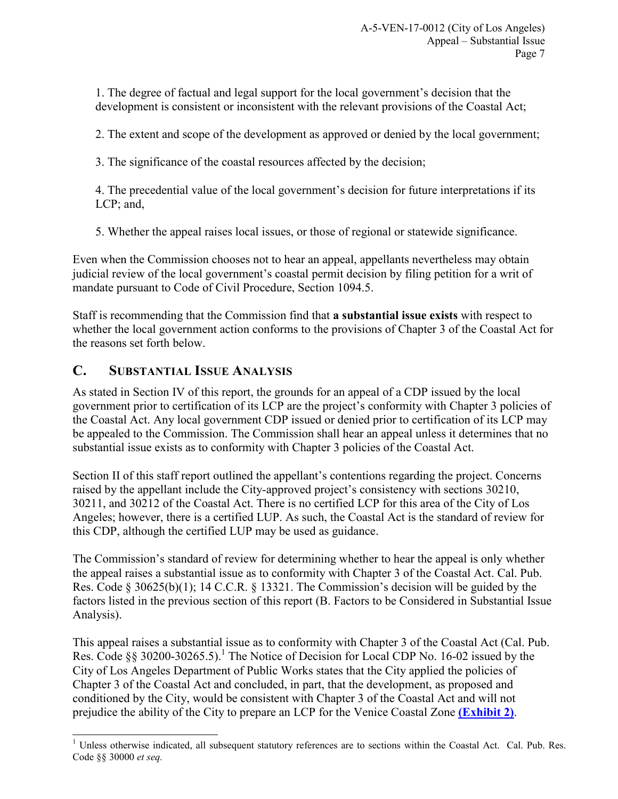1. The degree of factual and legal support for the local government's decision that the development is consistent or inconsistent with the relevant provisions of the Coastal Act;

2. The extent and scope of the development as approved or denied by the local government;

3. The significance of the coastal resources affected by the decision;

4. The precedential value of the local government's decision for future interpretations if its LCP; and,

5. Whether the appeal raises local issues, or those of regional or statewide significance.

Even when the Commission chooses not to hear an appeal, appellants nevertheless may obtain judicial review of the local government's coastal permit decision by filing petition for a writ of mandate pursuant to Code of Civil Procedure, Section 1094.5.

Staff is recommending that the Commission find that **a substantial issue exists** with respect to whether the local government action conforms to the provisions of Chapter 3 of the Coastal Act for the reasons set forth below.

### <span id="page-6-0"></span>**C. SUBSTANTIAL ISSUE ANALYSIS**

As stated in Section IV of this report, the grounds for an appeal of a CDP issued by the local government prior to certification of its LCP are the project's conformity with Chapter 3 policies of the Coastal Act. Any local government CDP issued or denied prior to certification of its LCP may be appealed to the Commission. The Commission shall hear an appeal unless it determines that no substantial issue exists as to conformity with Chapter 3 policies of the Coastal Act.

Section II of this staff report outlined the appellant's contentions regarding the project. Concerns raised by the appellant include the City-approved project's consistency with sections 30210, 30211, and 30212 of the Coastal Act. There is no certified LCP for this area of the City of Los Angeles; however, there is a certified LUP. As such, the Coastal Act is the standard of review for this CDP, although the certified LUP may be used as guidance.

The Commission's standard of review for determining whether to hear the appeal is only whether the appeal raises a substantial issue as to conformity with Chapter 3 of the Coastal Act. Cal. Pub. Res. Code § 30625(b)(1); 14 C.C.R. § 13321. The Commission's decision will be guided by the factors listed in the previous section of this report (B. Factors to be Considered in Substantial Issue Analysis).

This appeal raises a substantial issue as to conformity with Chapter 3 of the Coastal Act (Cal. Pub. Res. Code §§ 30200-30265.5).<sup>1</sup> The Notice of Decision for Local CDP No. 16-02 issued by the City of Los Angeles Department of Public Works states that the City applied the policies of Chapter 3 of the Coastal Act and concluded, in part, that the development, as proposed and conditioned by the City, would be consistent with Chapter 3 of the Coastal Act and will not prejudice the ability of the City to prepare an LCP for the Venice Coastal Zone **[\(Exhibit 2\)](https://documents.coastal.ca.gov/reports/5/F15d/F15d-5-2017-exhibits.pdf)**.

 $\overline{a}$  $1$  Unless otherwise indicated, all subsequent statutory references are to sections within the Coastal Act. Cal. Pub. Res. Code §§ 30000 *et seq.*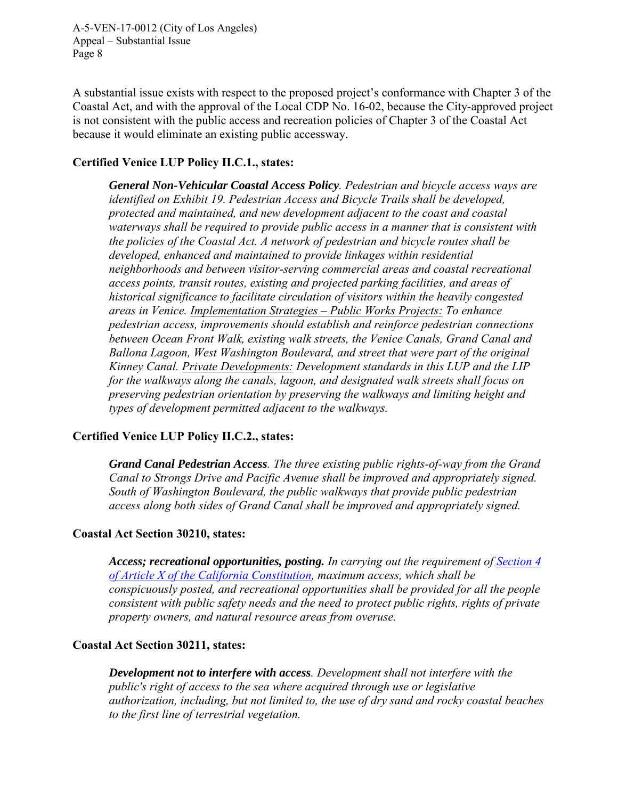A substantial issue exists with respect to the proposed project's conformance with Chapter 3 of the Coastal Act, and with the approval of the Local CDP No. 16-02, because the City-approved project is not consistent with the public access and recreation policies of Chapter 3 of the Coastal Act because it would eliminate an existing public accessway.

#### **Certified Venice LUP Policy II.C.1., states:**

*General Non-Vehicular Coastal Access Policy. Pedestrian and bicycle access ways are identified on Exhibit 19. Pedestrian Access and Bicycle Trails shall be developed, protected and maintained, and new development adjacent to the coast and coastal waterways shall be required to provide public access in a manner that is consistent with the policies of the Coastal Act. A network of pedestrian and bicycle routes shall be developed, enhanced and maintained to provide linkages within residential neighborhoods and between visitor-serving commercial areas and coastal recreational access points, transit routes, existing and projected parking facilities, and areas of historical significance to facilitate circulation of visitors within the heavily congested areas in Venice. Implementation Strategies – Public Works Projects: To enhance pedestrian access, improvements should establish and reinforce pedestrian connections between Ocean Front Walk, existing walk streets, the Venice Canals, Grand Canal and Ballona Lagoon, West Washington Boulevard, and street that were part of the original Kinney Canal. Private Developments: Development standards in this LUP and the LIP for the walkways along the canals, lagoon, and designated walk streets shall focus on preserving pedestrian orientation by preserving the walkways and limiting height and types of development permitted adjacent to the walkways.* 

#### **Certified Venice LUP Policy II.C.2., states:**

*Grand Canal Pedestrian Access. The three existing public rights-of-way from the Grand Canal to Strongs Drive and Pacific Avenue shall be improved and appropriately signed. South of Washington Boulevard, the public walkways that provide public pedestrian access along both sides of Grand Canal shall be improved and appropriately signed.* 

#### **Coastal Act Section 30210, states:**

*Access; recreational opportunities, posting. In carrying out the requirement of [Section 4](http://www.leginfo.ca.gov/calaw.html)  [of Article X of the California Constitution,](http://www.leginfo.ca.gov/calaw.html) maximum access, which shall be conspicuously posted, and recreational opportunities shall be provided for all the people consistent with public safety needs and the need to protect public rights, rights of private property owners, and natural resource areas from overuse.* 

#### **Coastal Act Section 30211, states:**

*Development not to interfere with access. Development shall not interfere with the public's right of access to the sea where acquired through use or legislative authorization, including, but not limited to, the use of dry sand and rocky coastal beaches to the first line of terrestrial vegetation.*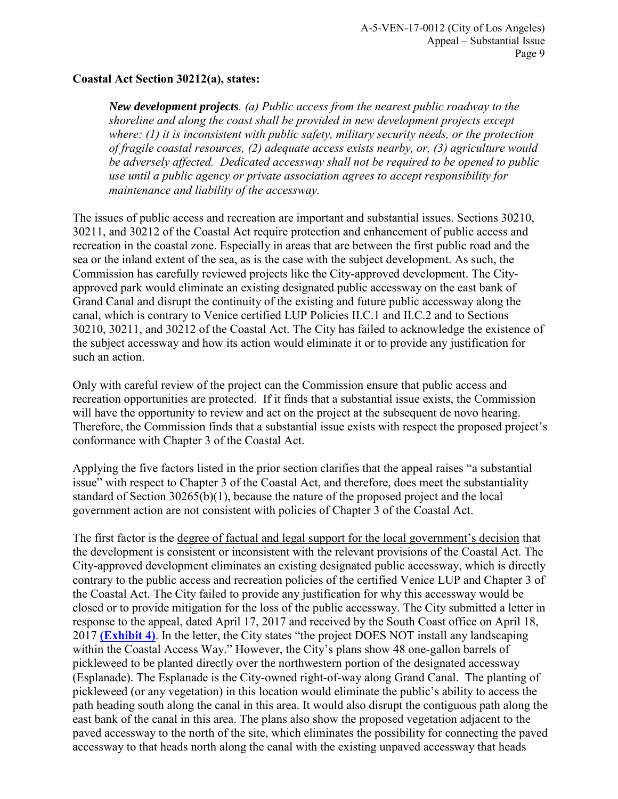#### **Coastal Act Section 30212(a), states:**

*New development projects. (a) Public access from the nearest public roadway to the shoreline and along the coast shall be provided in new development projects except where: (1) it is inconsistent with public safety, military security needs, or the protection of fragile coastal resources, (2) adequate access exists nearby, or, (3) agriculture would be adversely affected. Dedicated accessway shall not be required to be opened to public use until a public agency or private association agrees to accept responsibility for maintenance and liability of the accessway.* 

The issues of public access and recreation are important and substantial issues. Sections 30210, 30211, and 30212 of the Coastal Act require protection and enhancement of public access and recreation in the coastal zone. Especially in areas that are between the first public road and the sea or the inland extent of the sea, as is the case with the subject development. As such, the Commission has carefully reviewed projects like the City-approved development. The Cityapproved park would eliminate an existing designated public accessway on the east bank of Grand Canal and disrupt the continuity of the existing and future public accessway along the canal, which is contrary to Venice certified LUP Policies II.C.1 and II.C.2 and to Sections 30210, 30211, and 30212 of the Coastal Act. The City has failed to acknowledge the existence of the subject accessway and how its action would eliminate it or to provide any justification for such an action.

Only with careful review of the project can the Commission ensure that public access and recreation opportunities are protected. If it finds that a substantial issue exists, the Commission will have the opportunity to review and act on the project at the subsequent de novo hearing. Therefore, the Commission finds that a substantial issue exists with respect the proposed project's conformance with Chapter 3 of the Coastal Act.

Applying the five factors listed in the prior section clarifies that the appeal raises "a substantial issue" with respect to Chapter 3 of the Coastal Act, and therefore, does meet the substantiality standard of Section 30265(b)(1), because the nature of the proposed project and the local government action are not consistent with policies of Chapter 3 of the Coastal Act.

The first factor is the degree of factual and legal support for the local government's decision that the development is consistent or inconsistent with the relevant provisions of the Coastal Act. The City-approved development eliminates an existing designated public accessway, which is directly contrary to the public access and recreation policies of the certified Venice LUP and Chapter 3 of the Coastal Act. The City failed to provide any justification for why this accessway would be closed or to provide mitigation for the loss of the public accessway. The City submitted a letter in response to the appeal, dated April 17, 2017 and received by the South Coast office on April 18, 2017 **[\(Exhibit 4\)](https://documents.coastal.ca.gov/reports/5/F15d/F15d-5-2017-exhibits.pdf)**. In the letter, the City states "the project DOES NOT install any landscaping within the Coastal Access Way." However, the City's plans show 48 one-gallon barrels of pickleweed to be planted directly over the northwestern portion of the designated accessway (Esplanade). The Esplanade is the City-owned right-of-way along Grand Canal. The planting of pickleweed (or any vegetation) in this location would eliminate the public's ability to access the path heading south along the canal in this area. It would also disrupt the contiguous path along the east bank of the canal in this area. The plans also show the proposed vegetation adjacent to the paved accessway to the north of the site, which eliminates the possibility for connecting the paved accessway to that heads north along the canal with the existing unpaved accessway that heads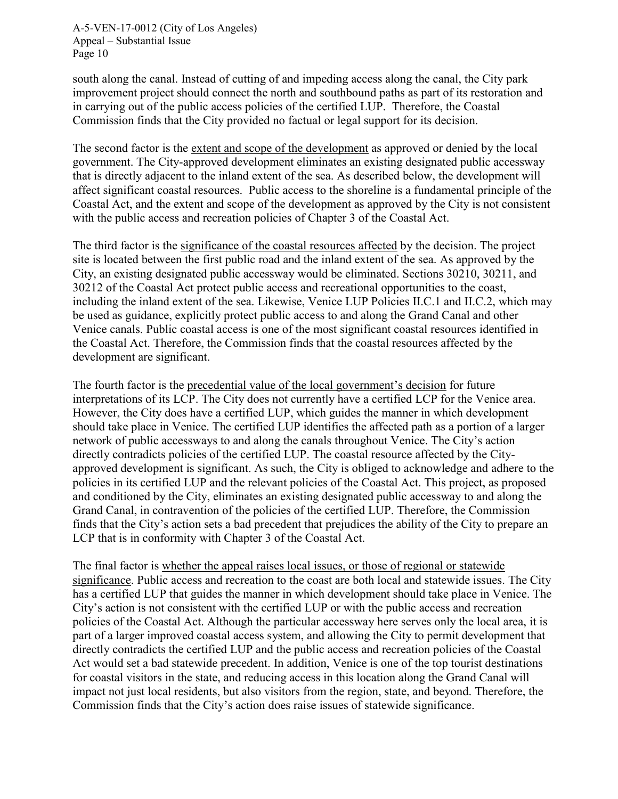south along the canal. Instead of cutting of and impeding access along the canal, the City park improvement project should connect the north and southbound paths as part of its restoration and in carrying out of the public access policies of the certified LUP. Therefore, the Coastal Commission finds that the City provided no factual or legal support for its decision.

The second factor is the extent and scope of the development as approved or denied by the local government. The City-approved development eliminates an existing designated public accessway that is directly adjacent to the inland extent of the sea. As described below, the development will affect significant coastal resources. Public access to the shoreline is a fundamental principle of the Coastal Act, and the extent and scope of the development as approved by the City is not consistent with the public access and recreation policies of Chapter 3 of the Coastal Act.

The third factor is the significance of the coastal resources affected by the decision. The project site is located between the first public road and the inland extent of the sea. As approved by the City, an existing designated public accessway would be eliminated. Sections 30210, 30211, and 30212 of the Coastal Act protect public access and recreational opportunities to the coast, including the inland extent of the sea. Likewise, Venice LUP Policies II.C.1 and II.C.2, which may be used as guidance, explicitly protect public access to and along the Grand Canal and other Venice canals. Public coastal access is one of the most significant coastal resources identified in the Coastal Act. Therefore, the Commission finds that the coastal resources affected by the development are significant.

The fourth factor is the precedential value of the local government's decision for future interpretations of its LCP. The City does not currently have a certified LCP for the Venice area. However, the City does have a certified LUP, which guides the manner in which development should take place in Venice. The certified LUP identifies the affected path as a portion of a larger network of public accessways to and along the canals throughout Venice. The City's action directly contradicts policies of the certified LUP. The coastal resource affected by the Cityapproved development is significant. As such, the City is obliged to acknowledge and adhere to the policies in its certified LUP and the relevant policies of the Coastal Act. This project, as proposed and conditioned by the City, eliminates an existing designated public accessway to and along the Grand Canal, in contravention of the policies of the certified LUP. Therefore, the Commission finds that the City's action sets a bad precedent that prejudices the ability of the City to prepare an LCP that is in conformity with Chapter 3 of the Coastal Act.

The final factor is whether the appeal raises local issues, or those of regional or statewide significance. Public access and recreation to the coast are both local and statewide issues. The City has a certified LUP that guides the manner in which development should take place in Venice. The City's action is not consistent with the certified LUP or with the public access and recreation policies of the Coastal Act. Although the particular accessway here serves only the local area, it is part of a larger improved coastal access system, and allowing the City to permit development that directly contradicts the certified LUP and the public access and recreation policies of the Coastal Act would set a bad statewide precedent. In addition, Venice is one of the top tourist destinations for coastal visitors in the state, and reducing access in this location along the Grand Canal will impact not just local residents, but also visitors from the region, state, and beyond. Therefore, the Commission finds that the City's action does raise issues of statewide significance.